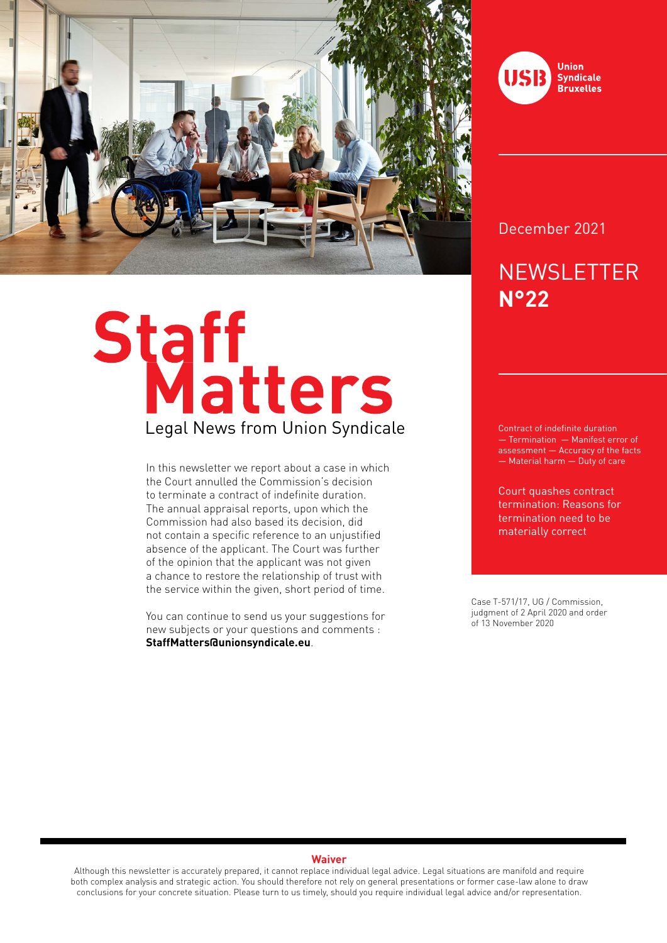

# Staff<br>Legal News from Union Syndicale

In this newsletter we report about a case in which the Court annulled the Commission's decision to terminate a contract of indefinite duration. The annual appraisal reports, upon which the Commission had also based its decision, did not contain a specific reference to an unjustified absence of the applicant. The Court was further of the opinion that the applicant was not given a chance to restore the relationship of trust with the service within the given, short period of time.

You can continue to send us your suggestions for new subjects or your questions and comments : **StaffMatters@unionsyndicale.eu**.



December 2021

# **NEWSLETTER N°22**

Contract of indefinite duration — Termination — Manifest error of assessment — Accuracy of the facts — Material harm — Duty of care

Court quashes contract termination: Reasons for termination need to be materially correct

Case T-571/17, UG / Commission, judgment of 2 April 2020 and order of 13 November 2020

### **Waiver**

Although this newsletter is accurately prepared, it cannot replace individual legal advice. Legal situations are manifold and require both complex analysis and strategic action. You should therefore not rely on general presentations or former case-law alone to draw conclusions for your concrete situation. Please turn to us timely, should you require individual legal advice and/or representation.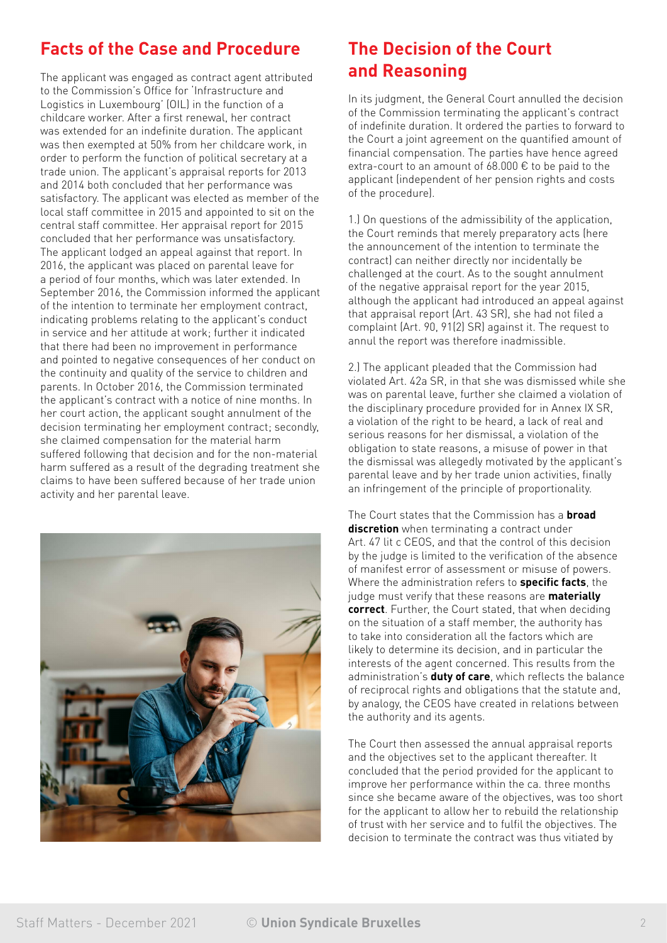## **Facts of the Case and Procedure**

The applicant was engaged as contract agent attributed to the Commission's Office for 'Infrastructure and Logistics in Luxembourg' (OIL) in the function of a childcare worker. After a first renewal, her contract was extended for an indefinite duration. The applicant was then exempted at 50% from her childcare work, in order to perform the function of political secretary at a trade union. The applicant's appraisal reports for 2013 and 2014 both concluded that her performance was satisfactory. The applicant was elected as member of the local staff committee in 2015 and appointed to sit on the central staff committee. Her appraisal report for 2015 concluded that her performance was unsatisfactory. The applicant lodged an appeal against that report. In 2016, the applicant was placed on parental leave for a period of four months, which was later extended. In September 2016, the Commission informed the applicant of the intention to terminate her employment contract, indicating problems relating to the applicant's conduct in service and her attitude at work; further it indicated that there had been no improvement in performance and pointed to negative consequences of her conduct on the continuity and quality of the service to children and parents. In October 2016, the Commission terminated the applicant's contract with a notice of nine months. In her court action, the applicant sought annulment of the decision terminating her employment contract; secondly, she claimed compensation for the material harm suffered following that decision and for the non-material harm suffered as a result of the degrading treatment she claims to have been suffered because of her trade union activity and her parental leave.



### **The Decision of the Court and Reasoning**

In its judgment, the General Court annulled the decision of the Commission terminating the applicant's contract of indefinite duration. It ordered the parties to forward to the Court a joint agreement on the quantified amount of financial compensation. The parties have hence agreed extra-court to an amount of 68.000 € to be paid to the applicant (independent of her pension rights and costs of the procedure).

1.) On questions of the admissibility of the application, the Court reminds that merely preparatory acts (here the announcement of the intention to terminate the contract) can neither directly nor incidentally be challenged at the court. As to the sought annulment of the negative appraisal report for the year 2015, although the applicant had introduced an appeal against that appraisal report (Art. 43 SR), she had not filed a complaint (Art. 90, 91(2) SR) against it. The request to annul the report was therefore inadmissible.

2.) The applicant pleaded that the Commission had violated Art. 42a SR, in that she was dismissed while she was on parental leave, further she claimed a violation of the disciplinary procedure provided for in Annex IX SR, a violation of the right to be heard, a lack of real and serious reasons for her dismissal, a violation of the obligation to state reasons, a misuse of power in that the dismissal was allegedly motivated by the applicant's parental leave and by her trade union activities, finally an infringement of the principle of proportionality.

The Court states that the Commission has a **broad discretion** when terminating a contract under Art. 47 lit c CEOS, and that the control of this decision by the judge is limited to the verification of the absence of manifest error of assessment or misuse of powers. Where the administration refers to **specific facts**, the judge must verify that these reasons are **materially correct**. Further, the Court stated, that when deciding on the situation of a staff member, the authority has to take into consideration all the factors which are likely to determine its decision, and in particular the interests of the agent concerned. This results from the administration's **duty of care**, which reflects the balance of reciprocal rights and obligations that the statute and, by analogy, the CEOS have created in relations between the authority and its agents.

The Court then assessed the annual appraisal reports and the objectives set to the applicant thereafter. It concluded that the period provided for the applicant to improve her performance within the ca. three months since she became aware of the objectives, was too short for the applicant to allow her to rebuild the relationship of trust with her service and to fulfil the objectives. The decision to terminate the contract was thus vitiated by